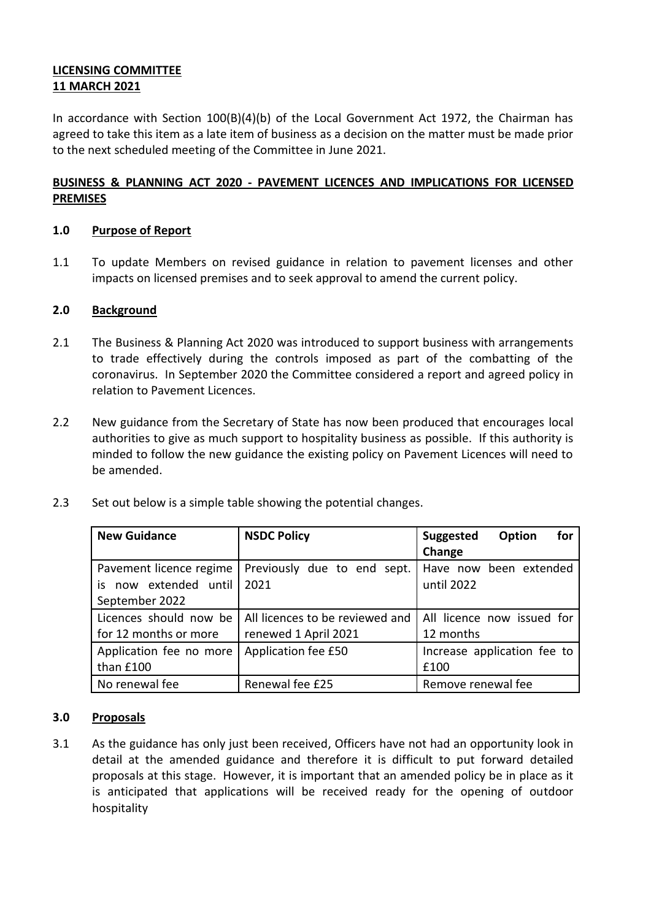# **LICENSING COMMITTEE 11 MARCH 2021**

In accordance with Section 100(B)(4)(b) of the Local Government Act 1972, the Chairman has agreed to take this item as a late item of business as a decision on the matter must be made prior to the next scheduled meeting of the Committee in June 2021.

# **BUSINESS & PLANNING ACT 2020 - PAVEMENT LICENCES AND IMPLICATIONS FOR LICENSED PREMISES**

### **1.0 Purpose of Report**

1.1 To update Members on revised guidance in relation to pavement licenses and other impacts on licensed premises and to seek approval to amend the current policy.

### **2.0 Background**

- 2.1 The Business & Planning Act 2020 was introduced to support business with arrangements to trade effectively during the controls imposed as part of the combatting of the coronavirus. In September 2020 the Committee considered a report and agreed policy in relation to Pavement Licences.
- 2.2 New guidance from the Secretary of State has now been produced that encourages local authorities to give as much support to hospitality business as possible. If this authority is minded to follow the new guidance the existing policy on Pavement Licences will need to be amended.
- 2.3 Set out below is a simple table showing the potential changes.

| <b>New Guidance</b>      | <b>NSDC Policy</b>              | for<br><b>Suggested</b><br>Option |
|--------------------------|---------------------------------|-----------------------------------|
|                          |                                 | Change                            |
| Pavement licence regime  | Previously due to end sept.     | Have now been extended            |
| now extended until<br>is | 2021                            | until 2022                        |
| September 2022           |                                 |                                   |
| Licences should now be   | All licences to be reviewed and | All licence now issued for        |
| for 12 months or more    | renewed 1 April 2021            | 12 months                         |
| Application fee no more  | Application fee £50             | Increase application fee to       |
| than £100                |                                 | £100                              |
| No renewal fee           | Renewal fee £25                 | Remove renewal fee                |

#### **3.0 Proposals**

3.1 As the guidance has only just been received, Officers have not had an opportunity look in detail at the amended guidance and therefore it is difficult to put forward detailed proposals at this stage. However, it is important that an amended policy be in place as it is anticipated that applications will be received ready for the opening of outdoor hospitality